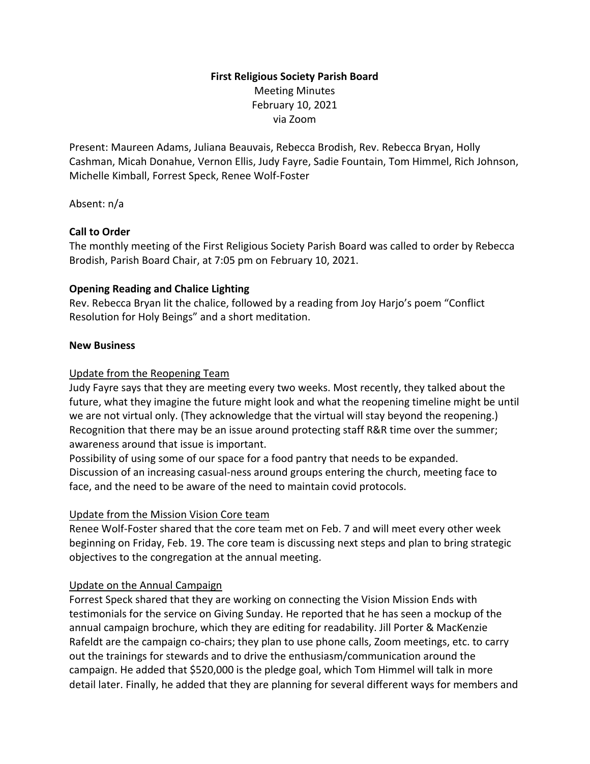# **First Religious Society Parish Board** Meeting Minutes February 10, 2021 via Zoom

Present: Maureen Adams, Juliana Beauvais, Rebecca Brodish, Rev. Rebecca Bryan, Holly Cashman, Micah Donahue, Vernon Ellis, Judy Fayre, Sadie Fountain, Tom Himmel, Rich Johnson, Michelle Kimball, Forrest Speck, Renee Wolf-Foster

Absent: n/a

## **Call to Order**

The monthly meeting of the First Religious Society Parish Board was called to order by Rebecca Brodish, Parish Board Chair, at 7:05 pm on February 10, 2021.

## **Opening Reading and Chalice Lighting**

Rev. Rebecca Bryan lit the chalice, followed by a reading from Joy Harjo's poem "Conflict Resolution for Holy Beings" and a short meditation.

#### **New Business**

## Update from the Reopening Team

Judy Fayre says that they are meeting every two weeks. Most recently, they talked about the future, what they imagine the future might look and what the reopening timeline might be until we are not virtual only. (They acknowledge that the virtual will stay beyond the reopening.) Recognition that there may be an issue around protecting staff R&R time over the summer; awareness around that issue is important.

Possibility of using some of our space for a food pantry that needs to be expanded. Discussion of an increasing casual-ness around groups entering the church, meeting face to face, and the need to be aware of the need to maintain covid protocols.

#### Update from the Mission Vision Core team

Renee Wolf-Foster shared that the core team met on Feb. 7 and will meet every other week beginning on Friday, Feb. 19. The core team is discussing next steps and plan to bring strategic objectives to the congregation at the annual meeting.

#### Update on the Annual Campaign

Forrest Speck shared that they are working on connecting the Vision Mission Ends with testimonials for the service on Giving Sunday. He reported that he has seen a mockup of the annual campaign brochure, which they are editing for readability. Jill Porter & MacKenzie Rafeldt are the campaign co-chairs; they plan to use phone calls, Zoom meetings, etc. to carry out the trainings for stewards and to drive the enthusiasm/communication around the campaign. He added that \$520,000 is the pledge goal, which Tom Himmel will talk in more detail later. Finally, he added that they are planning for several different ways for members and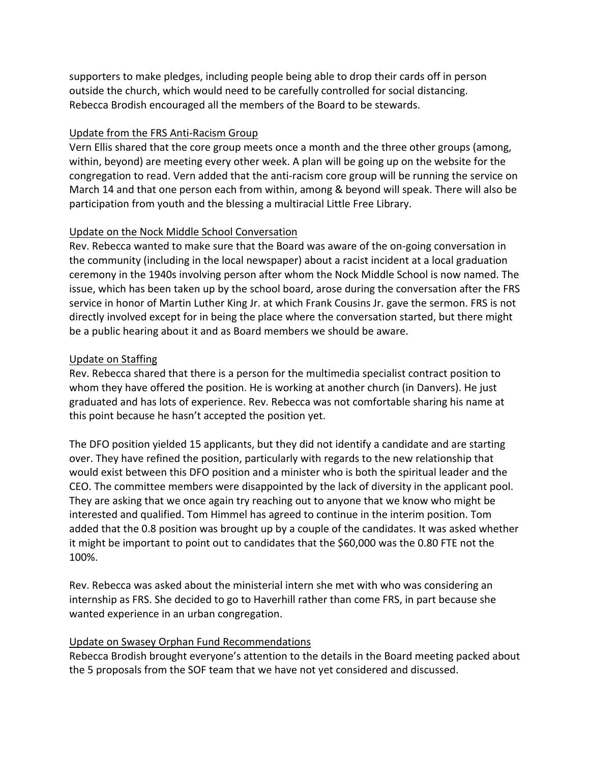supporters to make pledges, including people being able to drop their cards off in person outside the church, which would need to be carefully controlled for social distancing. Rebecca Brodish encouraged all the members of the Board to be stewards.

## Update from the FRS Anti-Racism Group

Vern Ellis shared that the core group meets once a month and the three other groups (among, within, beyond) are meeting every other week. A plan will be going up on the website for the congregation to read. Vern added that the anti-racism core group will be running the service on March 14 and that one person each from within, among & beyond will speak. There will also be participation from youth and the blessing a multiracial Little Free Library.

## Update on the Nock Middle School Conversation

Rev. Rebecca wanted to make sure that the Board was aware of the on-going conversation in the community (including in the local newspaper) about a racist incident at a local graduation ceremony in the 1940s involving person after whom the Nock Middle School is now named. The issue, which has been taken up by the school board, arose during the conversation after the FRS service in honor of Martin Luther King Jr. at which Frank Cousins Jr. gave the sermon. FRS is not directly involved except for in being the place where the conversation started, but there might be a public hearing about it and as Board members we should be aware.

## Update on Staffing

Rev. Rebecca shared that there is a person for the multimedia specialist contract position to whom they have offered the position. He is working at another church (in Danvers). He just graduated and has lots of experience. Rev. Rebecca was not comfortable sharing his name at this point because he hasn't accepted the position yet.

The DFO position yielded 15 applicants, but they did not identify a candidate and are starting over. They have refined the position, particularly with regards to the new relationship that would exist between this DFO position and a minister who is both the spiritual leader and the CEO. The committee members were disappointed by the lack of diversity in the applicant pool. They are asking that we once again try reaching out to anyone that we know who might be interested and qualified. Tom Himmel has agreed to continue in the interim position. Tom added that the 0.8 position was brought up by a couple of the candidates. It was asked whether it might be important to point out to candidates that the \$60,000 was the 0.80 FTE not the 100%.

Rev. Rebecca was asked about the ministerial intern she met with who was considering an internship as FRS. She decided to go to Haverhill rather than come FRS, in part because she wanted experience in an urban congregation.

## Update on Swasey Orphan Fund Recommendations

Rebecca Brodish brought everyone's attention to the details in the Board meeting packed about the 5 proposals from the SOF team that we have not yet considered and discussed.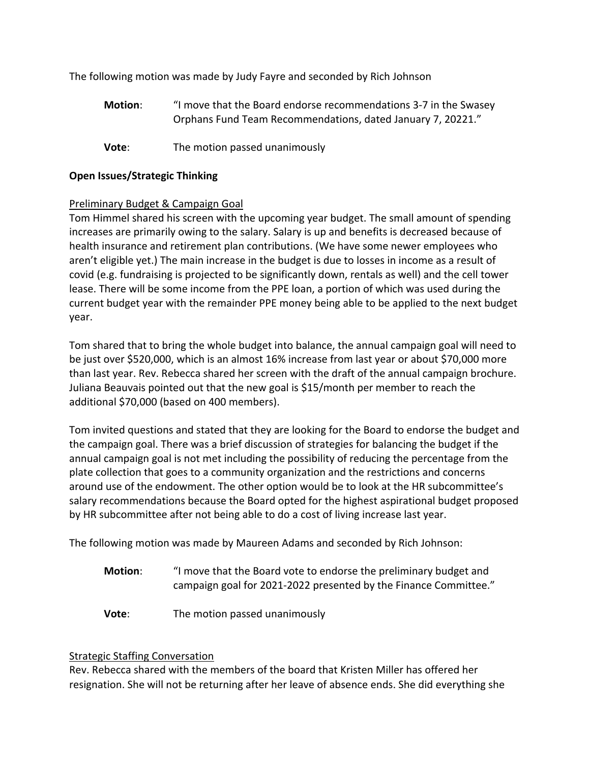The following motion was made by Judy Fayre and seconded by Rich Johnson

- **Motion**: "I move that the Board endorse recommendations 3-7 in the Swasey Orphans Fund Team Recommendations, dated January 7, 20221."
- **Vote:** The motion passed unanimously

# **Open Issues/Strategic Thinking**

# Preliminary Budget & Campaign Goal

Tom Himmel shared his screen with the upcoming year budget. The small amount of spending increases are primarily owing to the salary. Salary is up and benefits is decreased because of health insurance and retirement plan contributions. (We have some newer employees who aren't eligible yet.) The main increase in the budget is due to losses in income as a result of covid (e.g. fundraising is projected to be significantly down, rentals as well) and the cell tower lease. There will be some income from the PPE loan, a portion of which was used during the current budget year with the remainder PPE money being able to be applied to the next budget year.

Tom shared that to bring the whole budget into balance, the annual campaign goal will need to be just over \$520,000, which is an almost 16% increase from last year or about \$70,000 more than last year. Rev. Rebecca shared her screen with the draft of the annual campaign brochure. Juliana Beauvais pointed out that the new goal is \$15/month per member to reach the additional \$70,000 (based on 400 members).

Tom invited questions and stated that they are looking for the Board to endorse the budget and the campaign goal. There was a brief discussion of strategies for balancing the budget if the annual campaign goal is not met including the possibility of reducing the percentage from the plate collection that goes to a community organization and the restrictions and concerns around use of the endowment. The other option would be to look at the HR subcommittee's salary recommendations because the Board opted for the highest aspirational budget proposed by HR subcommittee after not being able to do a cost of living increase last year.

The following motion was made by Maureen Adams and seconded by Rich Johnson:

- **Motion**: "I move that the Board vote to endorse the preliminary budget and campaign goal for 2021-2022 presented by the Finance Committee."
- **Vote:** The motion passed unanimously

## Strategic Staffing Conversation

Rev. Rebecca shared with the members of the board that Kristen Miller has offered her resignation. She will not be returning after her leave of absence ends. She did everything she